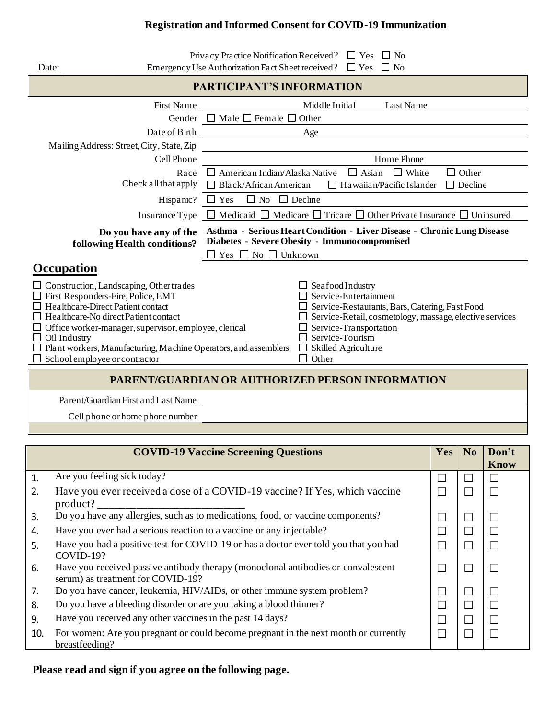## **Registration and Informed Consent for COVID-19 Immunization**

| Date:                                                                                                                                                                                                                                                                                                                                                                      | Privacy Practice Notification Received? $\Box$ Yes $\Box$ No<br>Emergency Use Authorization Fact Sheet received? $\Box$ Yes $\Box$ No                                                                                                                           |  |  |  |  |  |  |  |
|----------------------------------------------------------------------------------------------------------------------------------------------------------------------------------------------------------------------------------------------------------------------------------------------------------------------------------------------------------------------------|-----------------------------------------------------------------------------------------------------------------------------------------------------------------------------------------------------------------------------------------------------------------|--|--|--|--|--|--|--|
| <b>PARTICIPANT'S INFORMATION</b>                                                                                                                                                                                                                                                                                                                                           |                                                                                                                                                                                                                                                                 |  |  |  |  |  |  |  |
| First Name<br>Gender<br>Date of Birth                                                                                                                                                                                                                                                                                                                                      | Middle Initial<br>Last Name<br>$\Box$ Male $\Box$ Female $\Box$ Other<br>Age                                                                                                                                                                                    |  |  |  |  |  |  |  |
| Mailing Address: Street, City, State, Zip<br>Cell Phone<br>Race<br>Check all that apply                                                                                                                                                                                                                                                                                    | Home Phone<br>$\Box$ Asian<br>$\Box$ White<br>American Indian/Alaska Native<br>$\Box$ Other<br>$\Box$ Black/African American<br>Ha waiian/Pacific Islander<br>$\Box$ Decline<br>$\Box$                                                                          |  |  |  |  |  |  |  |
| Hispanic?                                                                                                                                                                                                                                                                                                                                                                  | $\Box$ No<br>$\Box$ Decline<br>$\Box$ Yes<br>Insurance Type $\Box$ Medicaid $\Box$ Medicare $\Box$ Tricare $\Box$ Other Private Insurance $\Box$ Uninsured                                                                                                      |  |  |  |  |  |  |  |
| Do you have any of the<br>following Health conditions?                                                                                                                                                                                                                                                                                                                     | Asthma - Serious Heart Condition - Liver Disease - Chronic Lung Disease<br>Diabetes - Severe Obesity - Immunocompromised<br>Yes $\Box$ No $\Box$ Unknown                                                                                                        |  |  |  |  |  |  |  |
| Occupation<br>$\Box$ Construction, Landscaping, Other trades<br>First Responders-Fire, Police, EMT<br>Healthcare-Direct Patient contact<br>Healthcare-No direct Patient contact<br>$\Box$ Office worker-manager, supervisor, employee, clerical<br>Oil Industry<br>$\Box$ Plant workers, Manufacturing, Machine Operators, and assemblers<br>School employee or contractor | $\Box$ Seafood Industry<br>Service-Entertainment<br>$\Box$ Service-Restaurants, Bars, Catering, Fast Food<br>Service-Retail, cosmetology, massage, elective services<br>Service-Transportation<br>Service-Tourism<br>$\Box$ Skilled Agriculture<br>$\Box$ Other |  |  |  |  |  |  |  |
| PARENT/CIJARDIAN OR AHTHORIZED PERSON INFORMATION                                                                                                                                                                                                                                                                                                                          |                                                                                                                                                                                                                                                                 |  |  |  |  |  |  |  |

## **PARENT/GUARDIAN OR AUTHORIZED PERSON INFORMATION**

Parent/Guardian First and Last Name

Cell phone or home phone number

| <b>COVID-19 Vaccine Screening Questions</b> |                                                                                                                        |  |  | Don't<br><b>Know</b> |
|---------------------------------------------|------------------------------------------------------------------------------------------------------------------------|--|--|----------------------|
| $\mathbf{1}$                                | Are you feeling sick today?                                                                                            |  |  |                      |
| 2.                                          | Have you ever received a dose of a COVID-19 vaccine? If Yes, which vaccine<br>product?                                 |  |  |                      |
| 3.                                          | Do you have any allergies, such as to medications, food, or vaccine components?                                        |  |  |                      |
| 4.                                          | Have you ever had a serious reaction to a vaccine or any injectable?                                                   |  |  |                      |
| .5.                                         | Have you had a positive test for COVID-19 or has a doctor ever told you that you had<br>COVID-19?                      |  |  |                      |
| 6.                                          | Have you received passive antibody therapy (monoclonal antibodies or convalescent<br>serum) as treatment for COVID-19? |  |  |                      |
| 7.                                          | Do you have cancer, leukemia, HIV/AIDs, or other immune system problem?                                                |  |  |                      |
| 8.                                          | Do you have a bleeding disorder or are you taking a blood thinner?                                                     |  |  |                      |
| 9.                                          | Have you received any other vaccines in the past 14 days?                                                              |  |  |                      |
| 10.                                         | For women: Are you pregnant or could become pregnant in the next month or currently<br>breastfeeding?                  |  |  |                      |

## **Please read and sign if you agree on the following page.**